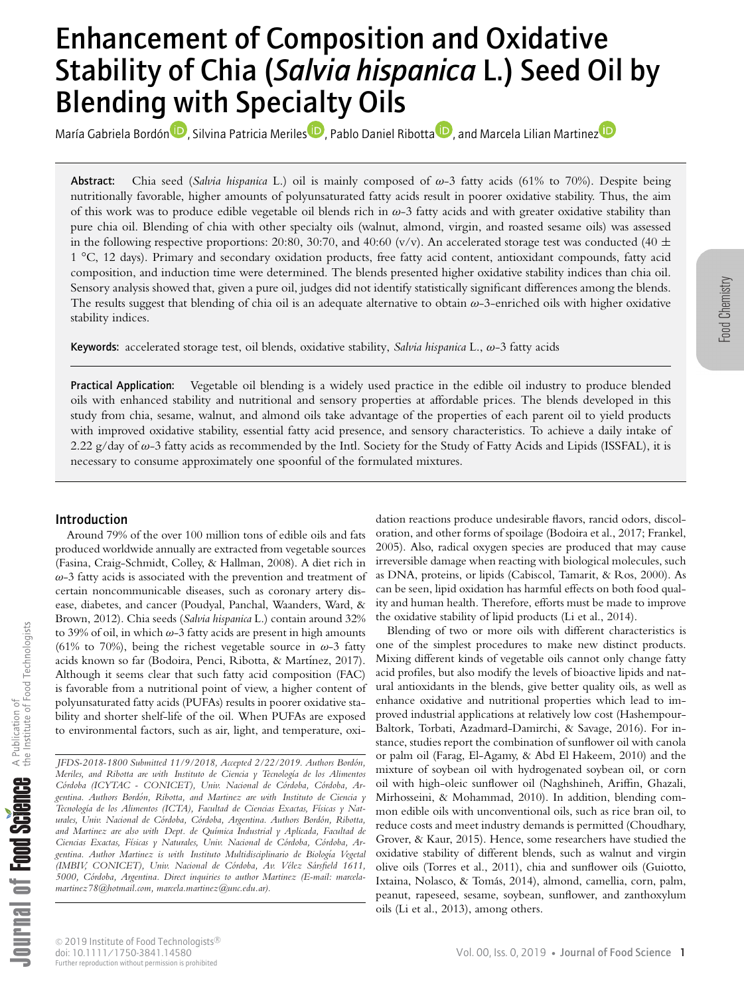# Enhancement of Composition and Oxidative Stability of Chia (*Salvia hispanica* L.) Seed Oil by Blending with Specialty Oils

María Gabriela Bordón<sup>í D</sup>[,](https://orcid.org/0000-0003-0249-7535) Silvina Patricia Merile[s](https://orcid.org/0000-0003-0595-6514)<sup>1D</sup>, P[a](https://orcid.org/0000-0001-7883-8856)blo Daniel Ribotta<sup>1D</sup>, and Marcela Lilian Martine[z](https://orcid.org/0000-0002-6236-7903)<sup>1D</sup>

Abstract: Chia seed (*Salvia hispanica* L.) oil is mainly composed of ω-3 fatty acids (61% to 70%). Despite being nutritionally favorable, higher amounts of polyunsaturated fatty acids result in poorer oxidative stability. Thus, the aim of this work was to produce edible vegetable oil blends rich in  $\omega$ -3 fatty acids and with greater oxidative stability than pure chia oil. Blending of chia with other specialty oils (walnut, almond, virgin, and roasted sesame oils) was assessed in the following respective proportions: 20:80, 30:70, and 40:60 (v/v). An accelerated storage test was conducted (40  $\pm$ 1 °C, 12 days). Primary and secondary oxidation products, free fatty acid content, antioxidant compounds, fatty acid composition, and induction time were determined. The blends presented higher oxidative stability indices than chia oil. Sensory analysis showed that, given a pure oil, judges did not identify statistically significant differences among the blends. The results suggest that blending of chia oil is an adequate alternative to obtain  $\omega$ -3-enriched oils with higher oxidative stability indices.

Keywords: accelerated storage test, oil blends, oxidative stability, *Salvia hispanica* L., ω-3 fatty acids

Practical Application: Vegetable oil blending is a widely used practice in the edible oil industry to produce blended oils with enhanced stability and nutritional and sensory properties at affordable prices. The blends developed in this study from chia, sesame, walnut, and almond oils take advantage of the properties of each parent oil to yield products with improved oxidative stability, essential fatty acid presence, and sensory characteristics. To achieve a daily intake of 2.22 g/day of  $\omega$ -3 fatty acids as recommended by the Intl. Society for the Study of Fatty Acids and Lipids (ISSFAL), it is necessary to consume approximately one spoonful of the formulated mixtures.

# Introduction

Around 79% of the over 100 million tons of edible oils and fats produced worldwide annually are extracted from vegetable sources (Fasina, Craig-Schmidt, Colley, & Hallman, 2008). A diet rich in  $\omega$ -3 fatty acids is associated with the prevention and treatment of certain noncommunicable diseases, such as coronary artery disease, diabetes, and cancer (Poudyal, Panchal, Waanders, Ward, & Brown, 2012). Chia seeds (*Salvia hispanica* L.) contain around 32% to 39% of oil, in which  $\omega$ -3 fatty acids are present in high amounts (61% to 70%), being the richest vegetable source in  $\omega$ -3 fatty acids known so far (Bodoira, Penci, Ribotta, & Martínez, 2017). Although it seems clear that such fatty acid composition (FAC) is favorable from a nutritional point of view, a higher content of polyunsaturated fatty acids (PUFAs) results in poorer oxidative stability and shorter shelf-life of the oil. When PUFAs are exposed to environmental factors, such as air, light, and temperature, oxi-

*JFDS-2018-1800 Submitted 11/9/2018, Accepted 2/22/2019. Authors Bordon, ´ Meriles, and Ribotta are with Instituto de Ciencia y Tecnolog´ıa de los Alimentos Cordoba (ICYTAC - CONICET), Univ. Nacional de C ´ ordoba, C ´ ordoba, Ar- ´ gentina. Authors Bordon, Ribotta, and Martinez are with Instituto de Ciencia y ´* Tecnología de los Alimentos (ICTA), Facultad de Ciencias Exactas, Físicas y Nat*urales, Univ. Nacional de Cordoba, C ´ ordoba, Argentina. Authors Bord ´ on, Ribotta, ´ and Martinez are also with Dept. de Qu´ımica Industrial y Aplicada, Facultad de Ciencias Exactas, F´ısicas y Naturales, Univ. Nacional de Cordoba, C ´ ordoba, Ar- ´ gentina. Author Martinez is with Instituto Multidisciplinario de Biolog´ıa Vegetal (IMBIV, CONICET), Univ. Nacional de Cordoba, Av. V ´ elez S ´ arsfield 1611, ´ 5000, Cordoba, Argentina. Direct inquiries to author Martinez (E-mail: marcela- ´ martinez78@hotmail.com, marcela.martinez@unc.edu.ar).*

dation reactions produce undesirable flavors, rancid odors, discoloration, and other forms of spoilage (Bodoira et al., 2017; Frankel, 2005). Also, radical oxygen species are produced that may cause irreversible damage when reacting with biological molecules, such as DNA, proteins, or lipids (Cabiscol, Tamarit, & Ros, 2000). As can be seen, lipid oxidation has harmful effects on both food quality and human health. Therefore, efforts must be made to improve the oxidative stability of lipid products (Li et al., 2014).

Blending of two or more oils with different characteristics is one of the simplest procedures to make new distinct products. Mixing different kinds of vegetable oils cannot only change fatty acid profiles, but also modify the levels of bioactive lipids and natural antioxidants in the blends, give better quality oils, as well as enhance oxidative and nutritional properties which lead to improved industrial applications at relatively low cost (Hashempour-Baltork, Torbati, Azadmard-Damirchi, & Savage, 2016). For instance, studies report the combination of sunflower oil with canola or palm oil (Farag, El-Agamy, & Abd El Hakeem, 2010) and the mixture of soybean oil with hydrogenated soybean oil, or corn oil with high-oleic sunflower oil (Naghshineh, Ariffin, Ghazali, Mirhosseini, & Mohammad, 2010). In addition, blending common edible oils with unconventional oils, such as rice bran oil, to reduce costs and meet industry demands is permitted (Choudhary, Grover, & Kaur, 2015). Hence, some researchers have studied the oxidative stability of different blends, such as walnut and virgin olive oils (Torres et al., 2011), chia and sunflower oils (Guiotto, Ixtaina, Nolasco, & Tomás, 2014), almond, camellia, corn, palm, peanut, rapeseed, sesame, soybean, sunflower, and zanthoxylum oils (Li et al., 2013), among others.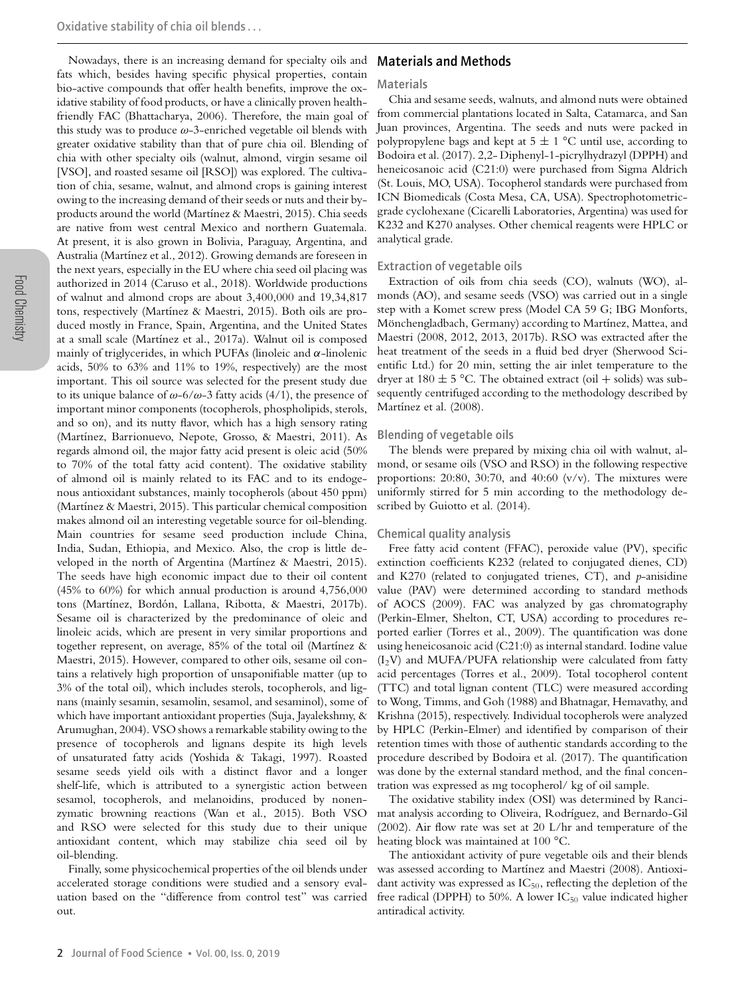Nowadays, there is an increasing demand for specialty oils and fats which, besides having specific physical properties, contain bio-active compounds that offer health benefits, improve the oxidative stability of food products, or have a clinically proven healthfriendly FAC (Bhattacharya, 2006). Therefore, the main goal of this study was to produce  $\omega$ -3-enriched vegetable oil blends with greater oxidative stability than that of pure chia oil. Blending of chia with other specialty oils (walnut, almond, virgin sesame oil [VSO], and roasted sesame oil [RSO]) was explored. The cultivation of chia, sesame, walnut, and almond crops is gaining interest owing to the increasing demand of their seeds or nuts and their byproducts around the world (Martínez & Maestri, 2015). Chia seeds are native from west central Mexico and northern Guatemala. At present, it is also grown in Bolivia, Paraguay, Argentina, and Australia (Martínez et al., 2012). Growing demands are foreseen in the next years, especially in the EU where chia seed oil placing was authorized in 2014 (Caruso et al., 2018). Worldwide productions of walnut and almond crops are about 3,400,000 and 19,34,817 tons, respectively (Martínez & Maestri, 2015). Both oils are produced mostly in France, Spain, Argentina, and the United States at a small scale (Martínez et al., 2017a). Walnut oil is composed mainly of triglycerides, in which PUFAs (linoleic and  $\alpha$ -linolenic acids, 50% to 63% and 11% to 19%, respectively) are the most important. This oil source was selected for the present study due to its unique balance of  $\omega$ -6/ $\omega$ -3 fatty acids (4/1), the presence of important minor components (tocopherols, phospholipids, sterols, and so on), and its nutty flavor, which has a high sensory rating (Martínez, Barrionuevo, Nepote, Grosso, & Maestri, 2011). As regards almond oil, the major fatty acid present is oleic acid (50% to 70% of the total fatty acid content). The oxidative stability of almond oil is mainly related to its FAC and to its endogenous antioxidant substances, mainly tocopherols (about 450 ppm) (Martínez & Maestri, 2015). This particular chemical composition makes almond oil an interesting vegetable source for oil-blending. Main countries for sesame seed production include China, India, Sudan, Ethiopia, and Mexico. Also, the crop is little developed in the north of Argentina (Martínez & Maestri, 2015). The seeds have high economic impact due to their oil content (45% to 60%) for which annual production is around 4,756,000 tons (Martínez, Bordón, Lallana, Ribotta, & Maestri, 2017b). Sesame oil is characterized by the predominance of oleic and linoleic acids, which are present in very similar proportions and together represent, on average, 85% of the total oil (Martínez  $\&$ Maestri, 2015). However, compared to other oils, sesame oil contains a relatively high proportion of unsaponifiable matter (up to 3% of the total oil), which includes sterols, tocopherols, and lignans (mainly sesamin, sesamolin, sesamol, and sesaminol), some of which have important antioxidant properties (Suja, Jayalekshmy, & Arumughan, 2004). VSO shows a remarkable stability owing to the presence of tocopherols and lignans despite its high levels of unsaturated fatty acids (Yoshida & Takagi, 1997). Roasted sesame seeds yield oils with a distinct flavor and a longer shelf-life, which is attributed to a synergistic action between sesamol, tocopherols, and melanoidins, produced by nonenzymatic browning reactions (Wan et al., 2015). Both VSO and RSO were selected for this study due to their unique antioxidant content, which may stabilize chia seed oil by oil-blending.

Finally, some physicochemical properties of the oil blends under accelerated storage conditions were studied and a sensory evaluation based on the "difference from control test" was carried out.

# Materials and Methods

#### Materials

Chia and sesame seeds, walnuts, and almond nuts were obtained from commercial plantations located in Salta, Catamarca, and San Juan provinces, Argentina. The seeds and nuts were packed in polypropylene bags and kept at  $5 \pm 1$  °C until use, according to Bodoira et al. (2017). 2,2- Diphenyl-1-picrylhydrazyl (DPPH) and heneicosanoic acid (C21:0) were purchased from Sigma Aldrich (St. Louis, MO, USA). Tocopherol standards were purchased from ICN Biomedicals (Costa Mesa, CA, USA). Spectrophotometricgrade cyclohexane (Cicarelli Laboratories, Argentina) was used for K232 and K270 analyses. Other chemical reagents were HPLC or analytical grade.

#### Extraction of vegetable oils

Extraction of oils from chia seeds (CO), walnuts (WO), almonds (AO), and sesame seeds (VSO) was carried out in a single step with a Komet screw press (Model CA 59 G; IBG Monforts, Mönchengladbach, Germany) according to Martínez, Mattea, and Maestri (2008, 2012, 2013, 2017b). RSO was extracted after the heat treatment of the seeds in a fluid bed dryer (Sherwood Scientific Ltd.) for 20 min, setting the air inlet temperature to the dryer at  $180 \pm 5$  °C. The obtained extract (oil + solids) was subsequently centrifuged according to the methodology described by Martínez et al. (2008).

#### Blending of vegetable oils

The blends were prepared by mixing chia oil with walnut, almond, or sesame oils (VSO and RSO) in the following respective proportions: 20:80, 30:70, and 40:60  $(v/v)$ . The mixtures were uniformly stirred for 5 min according to the methodology described by Guiotto et al. (2014).

#### Chemical quality analysis

Free fatty acid content (FFAC), peroxide value (PV), specific extinction coefficients K232 (related to conjugated dienes, CD) and K270 (related to conjugated trienes, CT), and *p*-anisidine value (PAV) were determined according to standard methods of AOCS (2009). FAC was analyzed by gas chromatography (Perkin-Elmer, Shelton, CT, USA) according to procedures reported earlier (Torres et al., 2009). The quantification was done using heneicosanoic acid (C21:0) as internal standard. Iodine value  $(I<sub>2</sub>V)$  and MUFA/PUFA relationship were calculated from fatty acid percentages (Torres et al., 2009). Total tocopherol content (TTC) and total lignan content (TLC) were measured according to Wong, Timms, and Goh (1988) and Bhatnagar, Hemavathy, and Krishna (2015), respectively. Individual tocopherols were analyzed by HPLC (Perkin-Elmer) and identified by comparison of their retention times with those of authentic standards according to the procedure described by Bodoira et al. (2017). The quantification was done by the external standard method, and the final concentration was expressed as mg tocopherol/ kg of oil sample.

The oxidative stability index (OSI) was determined by Rancimat analysis according to Oliveira, Rodríguez, and Bernardo-Gil (2002). Air flow rate was set at 20 L/hr and temperature of the heating block was maintained at 100 °C.

The antioxidant activity of pure vegetable oils and their blends was assessed according to Martínez and Maestri (2008). Antioxidant activity was expressed as  $IC_{50}$ , reflecting the depletion of the free radical (DPPH) to 50%. A lower  $IC_{50}$  value indicated higher antiradical activity.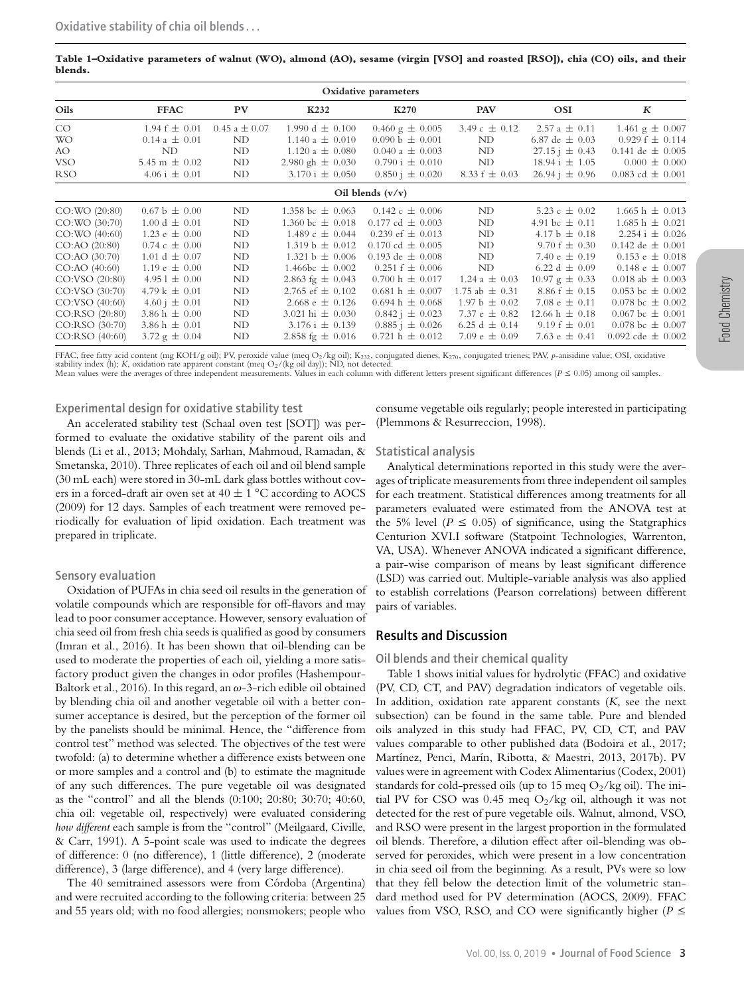**Table 1–Oxidative parameters of walnut (WO), almond (AO), sesame (virgin [VSO] and roasted [RSO]), chia (CO) oils, and their blends.**

| Oxidative parameters |                            |                   |                              |                               |                    |                             |                               |
|----------------------|----------------------------|-------------------|------------------------------|-------------------------------|--------------------|-----------------------------|-------------------------------|
| Oils                 | <b>FFAC</b>                | PV                | K <sub>2</sub> 32            | K270                          | <b>PAV</b>         | <b>OSI</b>                  | K                             |
| CO                   | $1.94 f \pm 0.01$          | $0.45 a \pm 0.07$ | 1.990 d $\pm$ 0.100          | $0.460 \text{ g} \pm 0.005$   | 3.49 c $\pm$ 0.12  | $2.57 a \pm 0.11$           | 1.461 $g \pm 0.007$           |
| <b>WO</b>            | $0.14 a \pm 0.01$          | ND                | $1.140 a \pm 0.010$          | $0.090 b \pm 0.001$           | ND                 | 6.87 de $\pm$ 0.03          | $0.929 f \pm 0.114$           |
| AO.                  | ND                         | ND                | $1.120 a \pm 0.080$          | $0.040 a \pm 0.003$           | ND                 | $27.15 \text{ i } \pm 0.43$ | 0.141 de $\pm$ 0.005          |
| <b>VSO</b>           | 5.45 m $\pm$ 0.02          | ND                | 2.980 gh $\pm$ 0.030         | $0.790 i \pm 0.010$           | ND                 | $18.94 i \pm 1.05$          | $0.000 \pm 0.000$             |
| <b>RSO</b>           | $4.06 i \pm 0.01$          | ND                | $3.170 \text{ i } \pm 0.050$ | $0.850 i \pm 0.020$           | 8.33 $f \pm 0.03$  | $26.94 \text{ i } \pm 0.96$ | 0.083 cd $\pm$ 0.001          |
|                      |                            |                   |                              | Oil blends $(v/v)$            |                    |                             |                               |
| CO:WO (20:80)        | $0.67 b \pm 0.00$          | ND                | 1.358 bc $\pm$ 0.063         | $0.142 \text{ c} \pm 0.006$   | ND                 | 5.23 c $\pm$ 0.02           | $1.665 h \pm 0.013$           |
| CO:WO (30:70)        | $1.00 d \pm 0.01$          | ND                | 1.360 bc $\pm$ 0.018         | $0.177 \text{ cd } \pm 0.003$ | ND                 | 4.91 bc $\pm$ 0.11          | $1.685 h \pm 0.021$           |
| CO:WO (40:60)        | 1.23 $e \pm 0.00$          | ND                | $1.489c \pm 0.044$           | 0.239 ef $\pm$ 0.013          | ND                 | 4.17 b $\pm$ 0.18           | $2.254 \text{ i } \pm 0.026$  |
| CO:AO (20:80)        | $0.74 \text{ c } \pm 0.00$ | ND                | $1.319 b \pm 0.012$          | 0.170 cd $\pm$ 0.005          | ND                 | 9.70 $f \pm 0.30$           | $0.142$ de $\pm 0.001$        |
| CO:AO (30:70)        | 1.01 d $\pm$ 0.07          | ND                | $1.321 b \pm 0.006$          | 0.193 de $\pm$ 0.008          | ND                 | 7.40 $\text{e} \pm 0.19$    | $0.153 \text{ e } \pm 0.018$  |
| CO:AO (40:60)        | 1.19 $e \pm 0.00$          | ND                | 1.466bc $\pm$ 0.002          | $0.251 f \pm 0.006$           | ND                 | 6.22 d $\pm$ 0.09           | $0.148 \text{ e } \pm 0.007$  |
| CO:VSO (20:80)       | $4.951 \pm 0.00$           | ND                | 2.863 fg $\pm$ 0.043         | $0.700 h \pm 0.017$           | 1.24 a $\pm$ 0.03  | $10.97 \text{ g} \pm 0.33$  | 0.018 ab $\pm$ 0.003          |
| CO:VSO (30:70)       | 4.79 k $\pm$ 0.01          | ND                | 2.765 ef $\pm$ 0.102         | $0.681 h \pm 0.007$           | 1.75 ab $\pm$ 0.31 | $8.86 f \pm 0.15$           | 0.053 bc $\pm$ 0.002          |
| CO: VSO (40:60)      | $4.60 i \pm 0.01$          | ND                | 2.668 e $\pm$ 0.126          | $0.694 h \pm 0.068$           | $1.97 b \pm 0.02$  | 7.08 $\epsilon \pm 0.11$    | 0.078 bc $\pm$ 0.002          |
| CO:RSO (20:80)       | 3.86 h $\pm$ 0.00          | ND                | 3.021 hi $\pm$ 0.030         | $0.842 \text{ i } \pm 0.023$  | 7.37 $e \pm 0.82$  | $12.66 h \pm 0.18$          | $0.067 \text{ bc } \pm 0.001$ |
| CO:RSO (30:70)       | 3.86 h $\pm$ 0.01          | ND                | $3.176 \text{ i } \pm 0.139$ | $0.885 \text{ i } \pm 0.026$  | 6.25 d $\pm$ 0.14  | $9.19 f \pm 0.01$           | $0.078 \text{ bc } \pm 0.007$ |
| CO:RSO (40:60)       | $3.72 \text{ g} \pm 0.04$  | ND                | 2.858 fg $\pm$ 0.016         | $0.721 h \pm 0.012$           | 7.09 $e \pm 0.09$  | 7.63 $e \pm 0.41$           | 0.092 cde $\pm$ 0.002         |

FFAC, free fatty acid content (mg KOH/g oil); PV, peroxide value (meq O<sub>2</sub>/kg oil); K<sub>232</sub>, conjugated dienes, K<sub>270</sub>, conjugated trienes; PAV, p-anisidine value; OSI, oxidative stability index (h); K, oxidation rate apparent constant (meq O2/(kg oil day)); ND, not detected.

#### Experimental design for oxidative stability test

An accelerated stability test (Schaal oven test [SOT]) was performed to evaluate the oxidative stability of the parent oils and blends (Li et al., 2013; Mohdaly, Sarhan, Mahmoud, Ramadan, & Smetanska, 2010). Three replicates of each oil and oil blend sample (30 mL each) were stored in 30-mL dark glass bottles without covers in a forced-draft air oven set at  $40 \pm 1$  °C according to AOCS (2009) for 12 days. Samples of each treatment were removed periodically for evaluation of lipid oxidation. Each treatment was prepared in triplicate.

#### Sensory evaluation

Oxidation of PUFAs in chia seed oil results in the generation of volatile compounds which are responsible for off-flavors and may lead to poor consumer acceptance. However, sensory evaluation of chia seed oil from fresh chia seeds is qualified as good by consumers (Imran et al., 2016). It has been shown that oil-blending can be used to moderate the properties of each oil, yielding a more satisfactory product given the changes in odor profiles (Hashempour-Baltork et al., 2016). In this regard, an  $\omega$ -3-rich edible oil obtained by blending chia oil and another vegetable oil with a better consumer acceptance is desired, but the perception of the former oil by the panelists should be minimal. Hence, the "difference from control test" method was selected. The objectives of the test were twofold: (a) to determine whether a difference exists between one or more samples and a control and (b) to estimate the magnitude of any such differences. The pure vegetable oil was designated as the "control" and all the blends (0:100; 20:80; 30:70; 40:60, chia oil: vegetable oil, respectively) were evaluated considering *how different* each sample is from the "control" (Meilgaard, Civille, & Carr, 1991). A 5-point scale was used to indicate the degrees of difference: 0 (no difference), 1 (little difference), 2 (moderate difference), 3 (large difference), and 4 (very large difference).

The 40 semitrained assessors were from Córdoba (Argentina) and were recruited according to the following criteria: between 25 and 55 years old; with no food allergies; nonsmokers; people who consume vegetable oils regularly; people interested in participating (Plemmons & Resurreccion, 1998).

### Statistical analysis

Analytical determinations reported in this study were the averages of triplicate measurements from three independent oil samples for each treatment. Statistical differences among treatments for all parameters evaluated were estimated from the ANOVA test at the 5% level ( $P \le 0.05$ ) of significance, using the Statgraphics Centurion XVI.I software (Statpoint Technologies, Warrenton, VA, USA). Whenever ANOVA indicated a significant difference, a pair-wise comparison of means by least significant difference (LSD) was carried out. Multiple-variable analysis was also applied to establish correlations (Pearson correlations) between different pairs of variables.

# Results and Discussion

#### Oil blends and their chemical quality

Table 1 shows initial values for hydrolytic (FFAC) and oxidative (PV, CD, CT, and PAV) degradation indicators of vegetable oils. In addition, oxidation rate apparent constants (*K*, see the next subsection) can be found in the same table. Pure and blended oils analyzed in this study had FFAC, PV, CD, CT, and PAV values comparable to other published data (Bodoira et al., 2017; Martínez, Penci, Marín, Ribotta, & Maestri, 2013, 2017b). PV values were in agreement with Codex Alimentarius (Codex, 2001) standards for cold-pressed oils (up to 15 meg  $O_2/kg$  oil). The initial PV for CSO was 0.45 meg  $O_2$ /kg oil, although it was not detected for the rest of pure vegetable oils. Walnut, almond, VSO, and RSO were present in the largest proportion in the formulated oil blends. Therefore, a dilution effect after oil-blending was observed for peroxides, which were present in a low concentration in chia seed oil from the beginning. As a result, PVs were so low that they fell below the detection limit of the volumetric standard method used for PV determination (AOCS, 2009). FFAC values from VSO, RSO, and CO were significantly higher ( $P \leq$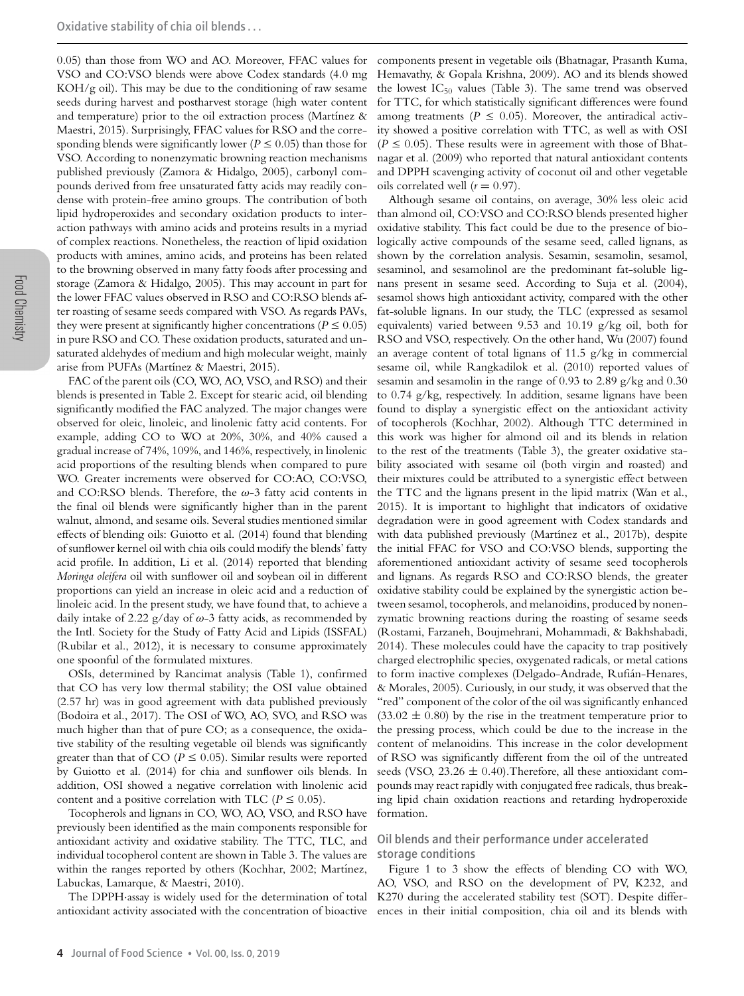0.05) than those from WO and AO. Moreover, FFAC values for VSO and CO:VSO blends were above Codex standards (4.0 mg KOH/g oil). This may be due to the conditioning of raw sesame seeds during harvest and postharvest storage (high water content and temperature) prior to the oil extraction process (Martínez  $\&$ Maestri, 2015). Surprisingly, FFAC values for RSO and the corresponding blends were significantly lower ( $P \leq 0.05$ ) than those for VSO. According to nonenzymatic browning reaction mechanisms published previously (Zamora & Hidalgo, 2005), carbonyl compounds derived from free unsaturated fatty acids may readily condense with protein-free amino groups. The contribution of both lipid hydroperoxides and secondary oxidation products to interaction pathways with amino acids and proteins results in a myriad of complex reactions. Nonetheless, the reaction of lipid oxidation products with amines, amino acids, and proteins has been related to the browning observed in many fatty foods after processing and storage (Zamora & Hidalgo, 2005). This may account in part for the lower FFAC values observed in RSO and CO:RSO blends after roasting of sesame seeds compared with VSO. As regards PAVs, they were present at significantly higher concentrations ( $P \le 0.05$ ) in pure RSO and CO. These oxidation products, saturated and unsaturated aldehydes of medium and high molecular weight, mainly arise from PUFAs (Martínez & Maestri, 2015).

FAC of the parent oils (CO, WO, AO, VSO, and RSO) and their blends is presented in Table 2. Except for stearic acid, oil blending significantly modified the FAC analyzed. The major changes were observed for oleic, linoleic, and linolenic fatty acid contents. For example, adding CO to WO at 20%, 30%, and 40% caused a gradual increase of 74%, 109%, and 146%, respectively, in linolenic acid proportions of the resulting blends when compared to pure WO. Greater increments were observed for CO:AO, CO:VSO, and CO:RSO blends. Therefore, the  $\omega$ -3 fatty acid contents in the final oil blends were significantly higher than in the parent walnut, almond, and sesame oils. Several studies mentioned similar effects of blending oils: Guiotto et al. (2014) found that blending of sunflower kernel oil with chia oils could modify the blends' fatty acid profile. In addition, Li et al. (2014) reported that blending *Moringa oleifera* oil with sunflower oil and soybean oil in different proportions can yield an increase in oleic acid and a reduction of linoleic acid. In the present study, we have found that, to achieve a daily intake of 2.22 g/day of  $\omega$ -3 fatty acids, as recommended by the Intl. Society for the Study of Fatty Acid and Lipids (ISSFAL) (Rubilar et al., 2012), it is necessary to consume approximately one spoonful of the formulated mixtures.

OSIs, determined by Rancimat analysis (Table 1), confirmed that CO has very low thermal stability; the OSI value obtained (2.57 hr) was in good agreement with data published previously (Bodoira et al., 2017). The OSI of WO, AO, SVO, and RSO was much higher than that of pure CO; as a consequence, the oxidative stability of the resulting vegetable oil blends was significantly greater than that of  $CO$  ( $P \le 0.05$ ). Similar results were reported by Guiotto et al. (2014) for chia and sunflower oils blends. In addition, OSI showed a negative correlation with linolenic acid content and a positive correlation with TLC ( $P \le 0.05$ ).

Tocopherols and lignans in CO, WO, AO, VSO, and RSO have previously been identified as the main components responsible for antioxidant activity and oxidative stability. The TTC, TLC, and individual tocopherol content are shown in Table 3. The values are within the ranges reported by others (Kochhar, 2002; Martínez, Labuckas, Lamarque, & Maestri, 2010).

The DPPH·assay is widely used for the determination of total antioxidant activity associated with the concentration of bioactive

components present in vegetable oils (Bhatnagar, Prasanth Kuma, Hemavathy, & Gopala Krishna, 2009). AO and its blends showed the lowest  $IC_{50}$  values (Table 3). The same trend was observed for TTC, for which statistically significant differences were found among treatments ( $P \le 0.05$ ). Moreover, the antiradical activity showed a positive correlation with TTC, as well as with OSI  $(P \le 0.05)$ . These results were in agreement with those of Bhatnagar et al. (2009) who reported that natural antioxidant contents and DPPH scavenging activity of coconut oil and other vegetable oils correlated well  $(r = 0.97)$ .

Although sesame oil contains, on average, 30% less oleic acid than almond oil, CO:VSO and CO:RSO blends presented higher oxidative stability. This fact could be due to the presence of biologically active compounds of the sesame seed, called lignans, as shown by the correlation analysis. Sesamin, sesamolin, sesamol, sesaminol, and sesamolinol are the predominant fat-soluble lignans present in sesame seed. According to Suja et al. (2004), sesamol shows high antioxidant activity, compared with the other fat-soluble lignans. In our study, the TLC (expressed as sesamol equivalents) varied between 9.53 and 10.19 g/kg oil, both for RSO and VSO, respectively. On the other hand, Wu (2007) found an average content of total lignans of 11.5 g/kg in commercial sesame oil, while Rangkadilok et al. (2010) reported values of sesamin and sesamolin in the range of 0.93 to 2.89 g/kg and 0.30 to 0.74 g/kg, respectively. In addition, sesame lignans have been found to display a synergistic effect on the antioxidant activity of tocopherols (Kochhar, 2002). Although TTC determined in this work was higher for almond oil and its blends in relation to the rest of the treatments (Table 3), the greater oxidative stability associated with sesame oil (both virgin and roasted) and their mixtures could be attributed to a synergistic effect between the TTC and the lignans present in the lipid matrix (Wan et al., 2015). It is important to highlight that indicators of oxidative degradation were in good agreement with Codex standards and with data published previously (Martínez et al., 2017b), despite the initial FFAC for VSO and CO:VSO blends, supporting the aforementioned antioxidant activity of sesame seed tocopherols and lignans. As regards RSO and CO:RSO blends, the greater oxidative stability could be explained by the synergistic action between sesamol, tocopherols, and melanoidins, produced by nonenzymatic browning reactions during the roasting of sesame seeds (Rostami, Farzaneh, Boujmehrani, Mohammadi, & Bakhshabadi, 2014). These molecules could have the capacity to trap positively charged electrophilic species, oxygenated radicals, or metal cations to form inactive complexes (Delgado-Andrade, Rufian-Henares, ´ & Morales, 2005). Curiously, in our study, it was observed that the "red" component of the color of the oil was significantly enhanced  $(33.02 \pm 0.80)$  by the rise in the treatment temperature prior to the pressing process, which could be due to the increase in the content of melanoidins. This increase in the color development of RSO was significantly different from the oil of the untreated seeds (VSO,  $23.26 \pm 0.40$ ). Therefore, all these antioxidant compounds may react rapidly with conjugated free radicals, thus breaking lipid chain oxidation reactions and retarding hydroperoxide formation.

## Oil blends and their performance under accelerated storage conditions

Figure 1 to 3 show the effects of blending CO with WO, AO, VSO, and RSO on the development of PV, K232, and K270 during the accelerated stability test (SOT). Despite differences in their initial composition, chia oil and its blends with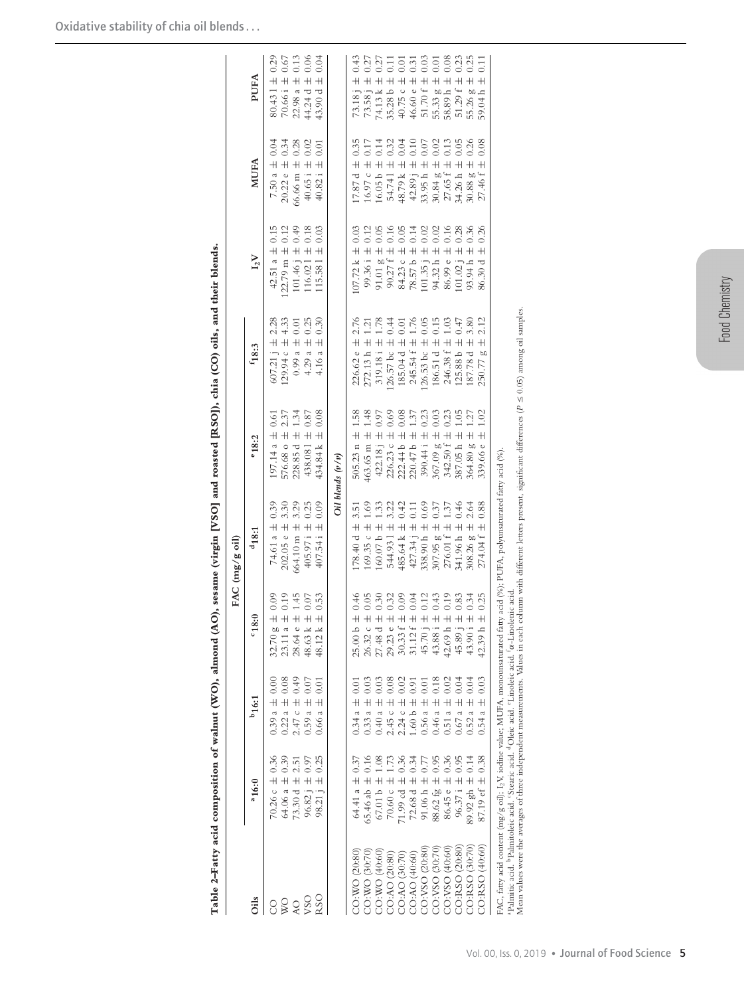|                              |                                                                                                                                                                                                                                                                                                                                                              |                                                                                  |                                                                        | FAC (mg/g oil)                                 |                                              |                                                                                                    |                                                            |                                                                        |                                                            |
|------------------------------|--------------------------------------------------------------------------------------------------------------------------------------------------------------------------------------------------------------------------------------------------------------------------------------------------------------------------------------------------------------|----------------------------------------------------------------------------------|------------------------------------------------------------------------|------------------------------------------------|----------------------------------------------|----------------------------------------------------------------------------------------------------|------------------------------------------------------------|------------------------------------------------------------------------|------------------------------------------------------------|
| Oils                         | 0:9                                                                                                                                                                                                                                                                                                                                                          | $b_{16:1}$                                                                       | 0.81                                                                   | 418:1                                          | °18:2                                        | $\rm ^{f}18:3$                                                                                     | $I_2V$                                                     | <b>MUFA</b>                                                            | PUFA                                                       |
| 8                            | 0.36<br>70.26 $c \pm$                                                                                                                                                                                                                                                                                                                                        | $0.39 a \pm 0.00$                                                                | $\begin{array}{c} 610 \\ +010 \\ +010 \end{array}$<br>32.70g           | 0.39<br>74.61 a ±                              | $(97.14 a \pm 0.61)$                         | 2.28<br>$607.21 \text{ j} \pm$                                                                     | 0.15<br>$42.51a \pm$                                       | 0.04<br>7.50 a $\pm$                                                   | $80.431 \pm 0.29$                                          |
| $\boldsymbol{\triangledown}$ | 0.39<br>64.06 a ±                                                                                                                                                                                                                                                                                                                                            | $0.22 a \pm 0.08$                                                                | 23.11 a                                                                | 3.30<br>$202.05 e \pm$                         | 2.37<br>576.68 o $\pm$                       | 4.33<br>$129.94c \pm$                                                                              | 0.12<br>$22.79$ m $\pm$                                    | 0.34<br>$20.22 e \pm$                                                  | $70.66 i \pm 0.67$                                         |
| <b>AO</b>                    | 2.51<br>73.30 d $\pm$                                                                                                                                                                                                                                                                                                                                        | $2.47 c \pm 0.49$                                                                | 1.45<br>$\overline{+}$<br>28.64 e                                      | 3.29<br>664.10 m ±                             | 1.34<br>228.85 d $\pm$                       | 0.01<br>$0.99a \pm$                                                                                | $101.46 \text{ j } \pm 0.49$                               | 0.28<br>66.66 m ±                                                      | 0.13<br>$22.98$ a $\pm$                                    |
| R <sub>SO</sub><br>VSO       | 0.25<br>0.97<br>$\overline{+}$<br>$\overline{+}$<br>98.21j<br>96.82                                                                                                                                                                                                                                                                                          | 0.07<br>$\overline{0.01}$<br>$\overline{+}$<br>$\overline{+}$<br>0.59a<br>0.66 a | 0.07<br>0.53<br>$\overline{+}$<br>$\overline{+}$<br>48.63 k<br>48.12 k | 0.09<br>0.25<br>405.97 i 土<br>407.54 i 土       | 0.87<br>0.08<br>434.84 k ±<br>438.081 ±      | 0.30<br>0.25<br>$4.29a \pm$<br>$\overline{+}$<br>4.16 a                                            | 0.18<br>0.03<br>$\overline{+}$<br>$115.581 \pm$<br>116.02] | 0.02<br>0.01<br>$\overline{+}$<br>$\overline{+}$<br>40.65 i<br>40.82 i | 0.06<br>0.04<br>44.24 d $\pm$<br>$\overline{+}$<br>43.90 d |
|                              |                                                                                                                                                                                                                                                                                                                                                              |                                                                                  |                                                                        |                                                |                                              |                                                                                                    |                                                            |                                                                        |                                                            |
|                              |                                                                                                                                                                                                                                                                                                                                                              |                                                                                  |                                                                        |                                                | $Oil$ blends $(v/v)$                         |                                                                                                    |                                                            |                                                                        |                                                            |
| CO:WO (20:80)                | 0.37<br>64.41 a ±                                                                                                                                                                                                                                                                                                                                            | $0.34 a \pm 0.0$                                                                 | 0.46<br>$\overline{+}$<br>25.00 <sub>b</sub>                           | 3.51<br>$178.40 d \pm$                         | 1.58<br>505.23 $n \pm$                       | 2.76<br>$226.62 e \pm$                                                                             | $107.72 \text{ k } \pm 0.03$                               | 0.35<br>$\overline{+}$<br>7.87 d                                       | 73.18 j $\pm$ 0.43                                         |
| CO:WO (30:70)                | 0.16<br>65.46 ab $\pm$                                                                                                                                                                                                                                                                                                                                       | 0.03<br>$0.33$ a $\pm$                                                           | 0.05<br>$\pm$<br>26.32 c                                               | 1.69<br>$169.35c \pm$                          | 1.48<br>$\overline{+}$<br>463.65 m           | $\overline{121}$<br>$272.13 h \pm$                                                                 | 0.12<br>$99.36 i \pm$                                      | 0.17<br>$\overline{+}$<br>16.97c                                       | 0.27<br>$\overline{+}$<br>73.58 j                          |
| CO:WO (40:60)                | 1,08<br>67.01 b $\pm$                                                                                                                                                                                                                                                                                                                                        | 0.03<br>$\overline{+}$<br>0.40a                                                  | 0.30<br>27.48d                                                         | 1.33<br>$\pm$ 9.00.09                          | (6.0)<br>$422.18 \text{ i } \pm$             | 1.78<br>$319.18 i \pm$                                                                             | 0.05<br>$91.01 g \pm$                                      | 0.14<br>$+$<br>16.05 b                                                 | $\overline{+}$<br>74.13 k                                  |
| CO:AO (20:80)                | 1.73<br>70.60 c ±                                                                                                                                                                                                                                                                                                                                            | 0.08<br>$\overline{+}$<br>2.45c                                                  | $0.32$<br>0.09<br>$+ + +$<br>29.23e                                    | $3.22$<br>0.42<br>544.931 ±                    | 0.69<br>$226.23 c \pm$                       | 0.44<br>$26.57$ bc $\pm$                                                                           | $90.27 f \pm$                                              | 0.32<br>$\overline{+}$<br>54.741                                       | $\overline{0.11}$<br>35.28 b ±                             |
| CO:AO (30:70)                | 0.36<br>$71.99$ cd $\pm$                                                                                                                                                                                                                                                                                                                                     | 0.02<br>$\overline{+}$<br>2.24c                                                  | $30.33 f$                                                              | $\overline{+}$<br>485.64 k                     | 0.08<br>$\overline{+}$<br>222.44 b           | 0.01<br>185.04 d ±                                                                                 | $0.16$<br>$0.05$<br>$0.14$<br>84.23 c ±                    | 0.04<br>$\overline{+}$<br>48.79 k                                      | 0.01<br>40.75 c ±                                          |
| CO:AO (40:60)                | 0.34<br>72.68 d $\pm$                                                                                                                                                                                                                                                                                                                                        | 0.91<br>$\overline{+}$<br>1.60 <sub>b</sub>                                      | 0.04<br>$+1$<br>31.12f                                                 | $\overline{0}$ .<br>$\overline{+}$<br>427.34 j | 1.37<br>$\overline{+}$<br>220.47 b           | 1.76<br>$245.54 f \pm$                                                                             | $\overline{+}$<br>78.57b                                   | 0.10<br>$\overline{+}$<br>42.89 j                                      | 0.31<br>$\overline{+}$<br>46.60 e                          |
| CO:VSO (20:80)               | 0.77<br>$91.06 h \pm$                                                                                                                                                                                                                                                                                                                                        | 0.01<br>$\overline{+}$<br>0.56a                                                  | $0.12$<br>0.43<br>45.70 j                                              | 0.69<br>338.90 h ±                             | 0.23<br>$390.44 i \pm$                       | 0.05<br>$126.53$ bc $\pm$                                                                          | $\overline{+}$<br>101.35 i                                 | 0.07<br>$\overline{+}$<br>33.95h                                       | $51.70 f \pm 0.03$                                         |
| CO:VSO (30:70)               | 0.95<br>88.62 fg $\pm$                                                                                                                                                                                                                                                                                                                                       | 0.18<br>$\overline{+}$<br>0.46a                                                  | $\overline{+}$<br>43.88 i                                              | 0.37<br>$\overline{+}$<br>307.95 g             | 0.03<br>$\overline{+}$<br>367.09 g           | 0.15<br>186.51 d $\pm$                                                                             | 0.00<br>0.00<br>0.16<br>$\overline{+}$<br>94.32 h          | 0.02<br>$\overline{+}$<br>30.84g                                       | 0.01<br>$55.33 g \pm 1$<br>58.89 h $\pm$                   |
| CO:VSO (40:60)               | 0.36<br>$\overline{+}$<br>86.45 e                                                                                                                                                                                                                                                                                                                            | 0.02<br>$\overline{+}$<br>0.51a                                                  | 0.19<br>$+$<br>42.69 h                                                 | 1.37<br>$\overline{+}$<br>276.01 f             | 0.23<br>$\overline{+}$<br>342.50 f           | 1.03<br>246.38 f ±                                                                                 | $\overline{+}$<br>86.99 е                                  | 0.13<br>$\overline{+}$<br>27.65 f                                      | 0.08                                                       |
| CO:RSO (20:80)               | 0.95<br>$96.37 i \pm$                                                                                                                                                                                                                                                                                                                                        | 0.04<br>$\overline{+}$<br>0.67a                                                  | 0.83<br>$+$<br>45.89 j                                                 | 0.46<br>341.96 h ±                             | 1.05<br>$\overline{+}$<br>387.05h            | 0.47<br>$125.88 b \pm$                                                                             | 0.28<br>$\overline{+}$<br>$101.02$ <sub>1</sub>            | 0.05<br>$\overline{+}$<br>34.26 h                                      | 0.23<br>$\overline{+}$<br>51.29f                           |
| CO:RSO (30:70)               | 0.14<br>89.92 gh ±                                                                                                                                                                                                                                                                                                                                           | 0.04<br>$\overline{+}$<br>0.52a                                                  | 0.34<br>$\overline{+}$<br>43.90 i                                      | 2.64<br>$\overline{+}$<br>308.26 g             | $\frac{27}{2}$<br>$\overline{+}$<br>364.80 g | 3.80<br>$187.78d \pm$                                                                              | 0.36<br>$\overline{+}$<br>93.94 h                          | 0.26<br>$\overline{+}$<br>30.88 g                                      | 0.25<br>$\overline{+}$<br>55.26 g                          |
| CO:RSO (40:60)               | 0.38<br>$+$<br>87.19 ef                                                                                                                                                                                                                                                                                                                                      | 0.03<br>$^+$<br>$\overline{\phantom{a}}$<br>0.54                                 | 0.25<br>$^+$<br>42.39 h                                                | 0.88<br>$^+$<br>274.04 f                       | 1.02<br>$\overline{+}$<br>339.66 e           | $^+$<br>250.77 g                                                                                   | 0.26<br>$+$<br>86.30 d                                     | 0.08<br>$+$<br>27.46 f                                                 | $\overline{0}$<br>$+$<br>59.04h                            |
|                              | FAC, fatty acid content (mg/g oil); L2V, iodine value; MUFA, monounsaturated fatty acid (%); PUFA, polyunsaturated fatty acid (%)<br><sup>a</sup> Palmitic acid. <sup>b</sup> Palmitoleic acid. 'Stearic acid. <sup>d</sup> Oleic acid. 'Linoleic acid. fa-Linolenic acid<br>Mean values were the averages of three independent measurements. Values in each |                                                                                  |                                                                        |                                                |                                              | column with different letters present, significant differences ( $P \leq 0.05$ ) among oil samples |                                                            |                                                                        |                                                            |

Table 2-Fatty acid composition of walnut (WO), almond (AO), sesame (virgin [VSO] and roasted [RSO]), chia (CO) oils, and their blends.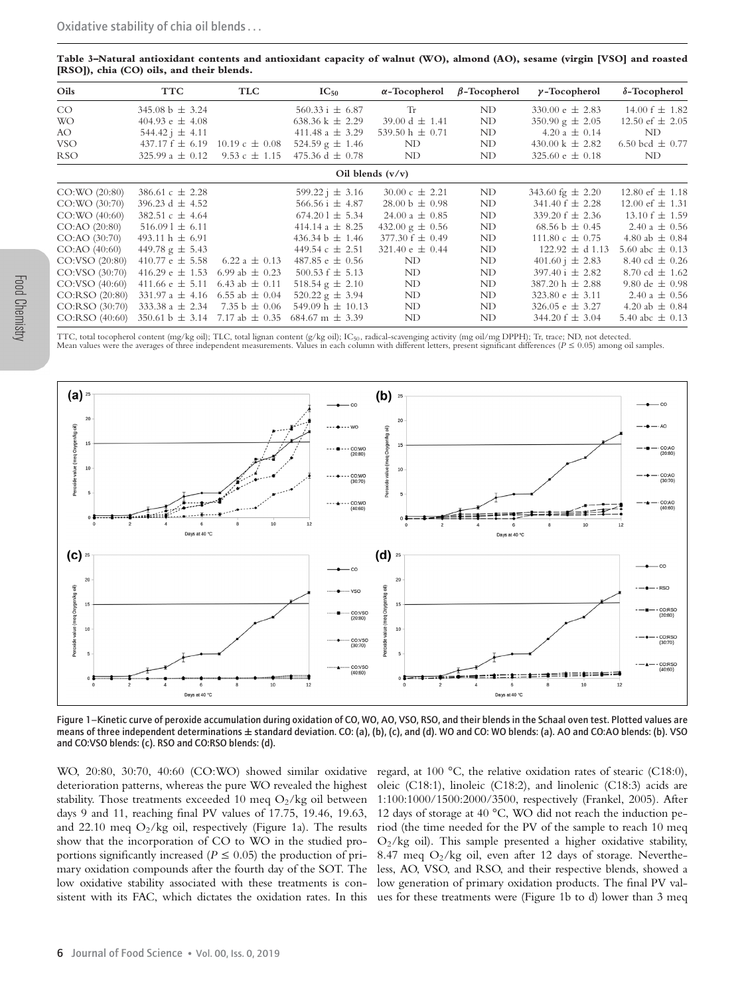**Table 3–Natural antioxidant contents and antioxidant capacity of walnut (WO), almond (AO), sesame (virgin [VSO] and roasted [RSO]), chia (CO) oils, and their blends.**

| Oils            | <b>TTC</b>                                     | <b>TLC</b>                  | $IC_{50}$                    | $\alpha$ -Tocopherol       | $\beta$ -Tocopherol | $\gamma$ -Tocopherol         | $\delta$ -Tocopherol |
|-----------------|------------------------------------------------|-----------------------------|------------------------------|----------------------------|---------------------|------------------------------|----------------------|
| CO              | 345.08 b $\pm$ 3.24                            |                             | $560.33 \text{ i } \pm 6.87$ | <b>Tr</b>                  | ND                  | 330.00 $\epsilon \pm 2.83$   | 14.00 $f \pm 1.82$   |
| <b>WO</b>       | 404.93 e $\pm$ 4.08                            |                             | 638.36 k $\pm$ 2.29          | 39.00 d $\pm$ 1.41         | ND                  | $350.90 \text{ g} \pm 2.05$  | 12.50 ef $\pm$ 2.05  |
| AO.             | 544.42 $\pm$ 4.11                              |                             | 411.48 a $\pm$ 3.29          | 539.50 h $\pm$ 0.71        | ND                  | 4.20 a $\pm$ 0.14            | ND                   |
| <b>VSO</b>      | 437.17 $f \pm 6.19$                            | $10.19 \text{ c } \pm 0.08$ | $524.59 \text{ g} \pm 1.46$  | ND                         | ND                  | $430.00 \text{ k} \pm 2.82$  | 6.50 bcd $\pm$ 0.77  |
| <b>RSO</b>      | 325.99 a $\pm$ 0.12                            | 9.53 c $\pm$ 1.15           | 475.36 d $\pm$ 0.78          | ND                         | ND                  | 325.60 $e \pm 0.18$          | ND                   |
|                 |                                                |                             |                              | Oil blends $(v/v)$         |                     |                              |                      |
| CO:WO (20:80)   | 386.61 c $\pm$ 2.28                            |                             | $599.22 \text{ i } \pm 3.16$ | $30.00 \text{ c} \pm 2.21$ | ND                  | 343.60 fg $\pm 2.20$         | 12.80 ef $\pm$ 1.18  |
| CO:WO (30:70)   | 396.23 d $\pm$ 4.52                            |                             | 566.56 i $\pm$ 4.87          | $28.00 b \pm 0.98$         | ND                  | 341.40 $f \pm 2.28$          | 12.00 ef $\pm$ 1.31  |
| CO:WO (40:60)   | 382.51 c $\pm$ 4.64                            |                             | $674.201 \pm 5.34$           | 24.00 a $\pm$ 0.85         | ND                  | 339.20 $f \pm 2.36$          | 13.10 $f \pm 1.59$   |
| CO:AO (20:80)   | $516.091 \pm 6.11$                             |                             | 414.14 $a \pm 8.25$          | 432.00 g $\pm$ 0.56        | ND                  | 68.56 b $\pm$ 0.45           | 2.40 a $\pm$ 0.56    |
| CO:AO (30:70)   | 493.11 h $\pm$ 6.91                            |                             | 436.34 b $\pm$ 1.46          | $377.30 f \pm 0.49$        | ND                  | 111.80 c $\pm$ 0.75          | 4.80 ab $\pm$ 0.84   |
| CO:AO (40:60)   | 449.78 g $\pm$ 5.43                            |                             | 449.54 $c \pm 2.51$          | 321.40 $\text{e} \pm 0.44$ | ND                  | $122.92 \pm d1.13$           | 5.60 abc $\pm$ 0.13  |
| CO:VSO (20:80)  | 410.77 e $\pm$ 5.58                            | 6.22 a $\pm$ 0.13           | 487.85 $e \pm 0.56$          | ND                         | ND                  | $401.60 \text{ i } \pm 2.83$ | 8.40 cd $\pm$ 0.26   |
| CO:VSO (30:70)  | 416.29 e $\pm$ 1.53                            | 6.99 ab $\pm$ 0.23          | 500.53 $f \pm 5.13$          | ND                         | ND                  | $397.40 \text{ i } \pm 2.82$ | 8.70 cd $\pm$ 1.62   |
| CO: VSO (40:60) | 411.66 $\pm$ 5.11                              | 6.43 ab $\pm$ 0.11          | 518.54 $g \pm 2.10$          | ND                         | ND                  | $387.20 h \pm 2.88$          | 9.80 de $\pm$ 0.98   |
| CO:RSO (20:80)  | 331.97 a $\pm$ 4.16                            | 6.55 ab $\pm$ 0.04          | 520.22 g $\pm$ 3.94          | ND                         | ND                  | 323.80 $\epsilon \pm 3.11$   | 2.40 a $\pm$ 0.56    |
| CO:RSO (30:70)  | 333.38 a $\pm$ 2.34                            | 7.35 b $\pm$ 0.06           | 549.09 h $\pm$ 10.13         | ND                         | ND                  | 326.05 $e \pm 3.27$          | 4.20 ab $\pm$ 0.84   |
| CO:RSO (40:60)  | $350.61 \text{ b} \pm 3.14$ 7.17 ab $\pm$ 0.35 |                             | 684.67 m $\pm$ 3.39          | ND                         | ND                  | $344.20 f \pm 3.04$          | 5.40 abc $\pm$ 0.13  |

Food Chemistry

TTC, total tocopherol content (mg/kg oil); TLC, total lignan content (g/kg oil); IC<sub>50</sub>, radical-scavenging activity (mg oil/mg DPPH); Tr, trace; ND, not detected.<br>Mean values were the averages of three independent measur



Figure 1–Kinetic curve of peroxide accumulation during oxidation of CO, WO, AO, VSO, RSO, and their blends in the Schaal oven test. Plotted values are means of three independent determinations **±** standard deviation. CO: (a), (b), (c), and (d). WO and CO: WO blends: (a). AO and CO:AO blends: (b). VSO and CO:VSO blends: (c). RSO and CO:RSO blends: (d).

WO, 20:80, 30:70, 40:60 (CO:WO) showed similar oxidative deterioration patterns, whereas the pure WO revealed the highest stability. Those treatments exceeded 10 meq  $O_2$ /kg oil between days 9 and 11, reaching final PV values of 17.75, 19.46, 19.63, and 22.10 meq  $O_2$ /kg oil, respectively (Figure 1a). The results show that the incorporation of CO to WO in the studied proportions significantly increased ( $P \leq 0.05$ ) the production of primary oxidation compounds after the fourth day of the SOT. The low oxidative stability associated with these treatments is consistent with its FAC, which dictates the oxidation rates. In this

regard, at 100 °C, the relative oxidation rates of stearic (C18:0), oleic (C18:1), linoleic (C18:2), and linolenic (C18:3) acids are 1:100:1000/1500:2000/3500, respectively (Frankel, 2005). After 12 days of storage at 40 °C, WO did not reach the induction period (the time needed for the PV of the sample to reach 10 meq  $O_2$ /kg oil). This sample presented a higher oxidative stability, 8.47 meq  $O_2$ /kg oil, even after 12 days of storage. Nevertheless, AO, VSO, and RSO, and their respective blends, showed a low generation of primary oxidation products. The final PV values for these treatments were (Figure 1b to d) lower than 3 meq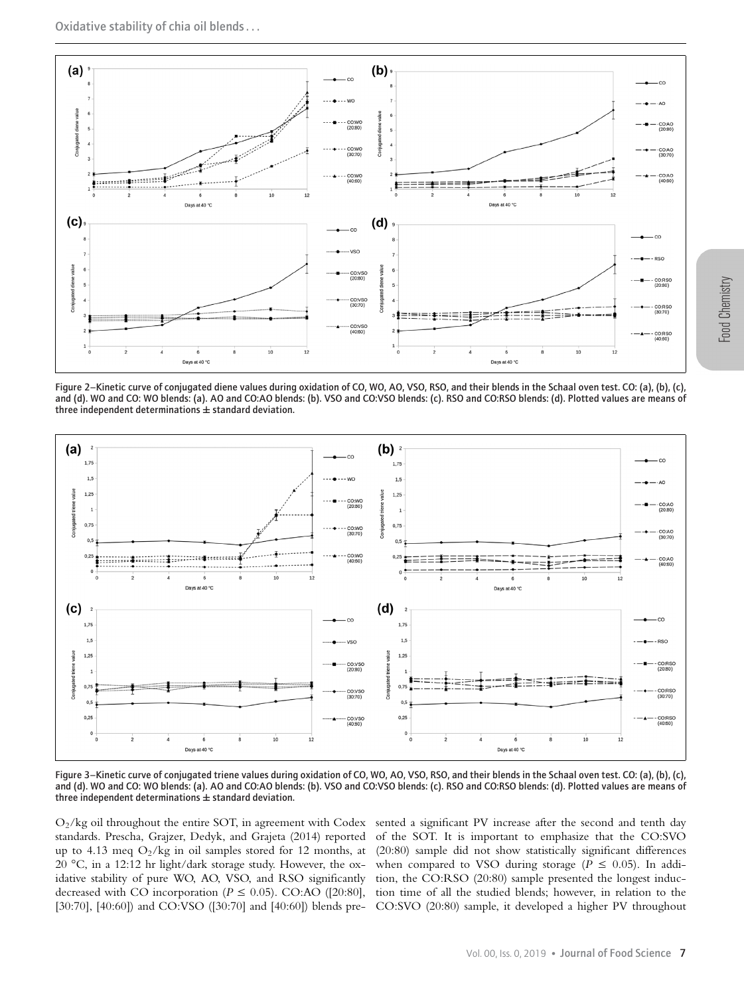

Figure 2–Kinetic curve of conjugated diene values during oxidation of CO, WO, AO, VSO, RSO, and their blends in the Schaal oven test. CO: (a), (b), (c), and (d). WO and CO: WO blends: (a). AO and CO:AO blends: (b). VSO and CO:VSO blends: (c). RSO and CO:RSO blends: (d). Plotted values are means of three independent determinations **±** standard deviation.



Figure 3–Kinetic curve of conjugated triene values during oxidation of CO, WO, AO, VSO, RSO, and their blends in the Schaal oven test. CO: (a), (b), (c), and (d). WO and CO: WO blends: (a). AO and CO:AO blends: (b). VSO and CO:VSO blends: (c). RSO and CO:RSO blends: (d). Plotted values are means of three independent determinations **±** standard deviation.

 $O_2$ /kg oil throughout the entire SOT, in agreement with Codex sented a significant PV increase after the second and tenth day standards. Prescha, Grajzer, Dedyk, and Grajeta (2014) reported of the SOT. It is important to emphasize that the CO:SVO up to 4.13 meq O2/kg in oil samples stored for 12 months, at (20:80) sample did not show statistically significant differences 20 °C, in a 12:12 hr light/dark storage study. However, the ox- when compared to VSO during storage ( $\tilde{P} \le 0.05$ ). In addiidative stability of pure WO, AO, VSO, and RSO significantly tion, the CO:RSO (20:80) sample presented the longest inducdecreased with CO incorporation ( $P \le 0.05$ ). CO:AO ([20:80], tion time of all the studied blends; however, in relation to the [30:70], [40:60]) and CO:VSO ([30:70] and [40:60]) blends pre-CO:SVO (20:80) sample, it developed a higher PV throughout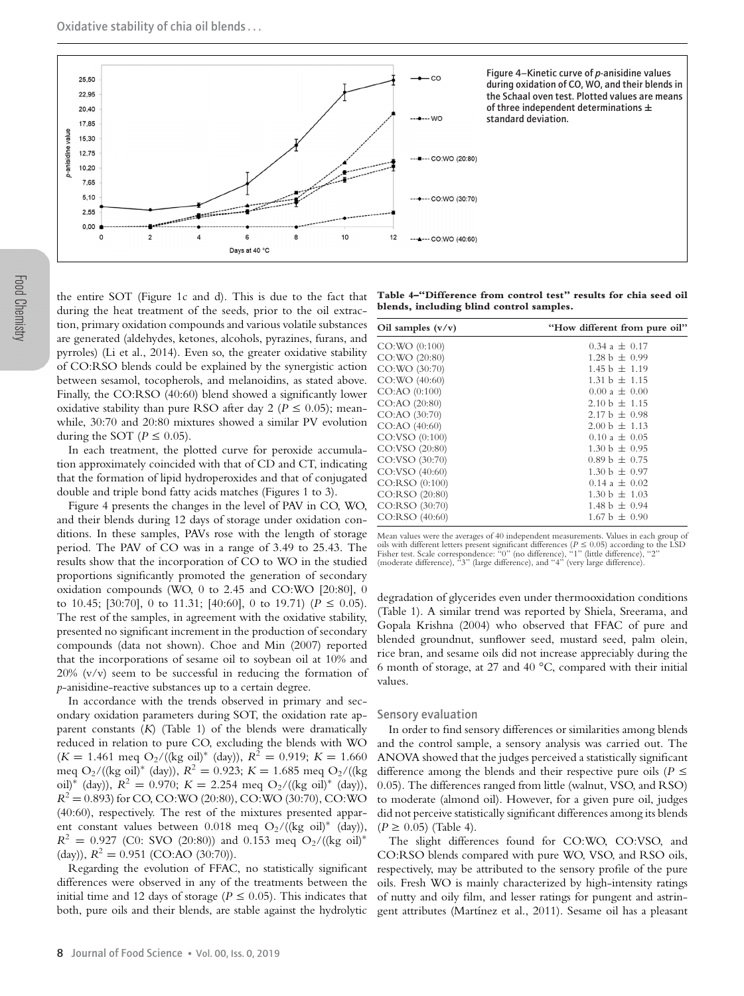

the entire SOT (Figure 1c and d). This is due to the fact that during the heat treatment of the seeds, prior to the oil extraction, primary oxidation compounds and various volatile substances are generated (aldehydes, ketones, alcohols, pyrazines, furans, and pyrroles) (Li et al., 2014). Even so, the greater oxidative stability of CO:RSO blends could be explained by the synergistic action between sesamol, tocopherols, and melanoidins, as stated above. Finally, the CO:RSO (40:60) blend showed a significantly lower oxidative stability than pure RSO after day 2 ( $P \le 0.05$ ); meanwhile, 30:70 and 20:80 mixtures showed a similar PV evolution during the SOT ( $P \leq 0.05$ ).

In each treatment, the plotted curve for peroxide accumulation approximately coincided with that of CD and CT, indicating that the formation of lipid hydroperoxides and that of conjugated double and triple bond fatty acids matches (Figures 1 to 3).

Figure 4 presents the changes in the level of PAV in CO, WO, and their blends during 12 days of storage under oxidation conditions. In these samples, PAVs rose with the length of storage period. The PAV of CO was in a range of 3.49 to 25.43. The results show that the incorporation of CO to WO in the studied proportions significantly promoted the generation of secondary oxidation compounds (WO, 0 to 2.45 and CO:WO [20:80], 0 to 10.45; [30:70], 0 to 11.31; [40:60], 0 to 19.71) ( $P \le 0.05$ ). The rest of the samples, in agreement with the oxidative stability, presented no significant increment in the production of secondary compounds (data not shown). Choe and Min (2007) reported that the incorporations of sesame oil to soybean oil at 10% and 20% (v/v) seem to be successful in reducing the formation of *p*-anisidine-reactive substances up to a certain degree.

In accordance with the trends observed in primary and secondary oxidation parameters during SOT, the oxidation rate apparent constants (*K*) (Table 1) of the blends were dramatically reduced in relation to pure CO, excluding the blends with WO  $(K = 1.461 \text{ meq O}_2/((kg \text{ oil})^* (\text{day})), R^2 = 0.919; K = 1.660$ meq O<sub>2</sub>/((kg oil)<sup>\*</sup> (day)),  $R^2 = 0.923$ ;  $K = 1.685$  meq O<sub>2</sub>/((kg) oil)<sup>\*</sup> (day)),  $R^2 = 0.970$ ;  $K = 2.254$  meq O<sub>2</sub>/((kg oil)<sup>\*</sup> (day)),  $R^2 = 0.893$  for CO, CO:WO (20:80), CO:WO (30:70), CO:WO (40:60), respectively. The rest of the mixtures presented apparent constant values between 0.018 meq  $O_2/((kg \text{ oil})^*$  (day)),  $R^2 = 0.927$  (C0: SVO (20:80)) and 0.153 meq O<sub>2</sub>/((kg oil)<sup>\*</sup> (day)),  $R^2 = 0.951$  (CO:AO (30:70)).

Regarding the evolution of FFAC, no statistically significant differences were observed in any of the treatments between the initial time and 12 days of storage ( $P \le 0.05$ ). This indicates that both, pure oils and their blends, are stable against the hydrolytic

**Table 4–"Difference from control test" results for chia seed oil blends, including blind control samples.**

| Oil samples $(v/v)$ | "How different from pure oil" |
|---------------------|-------------------------------|
| CO:WO (0:100)       | $0.34 a \pm 0.17$             |
| CO:WO (20:80)       | $1.28 b \pm 0.99$             |
| CO:WO (30:70)       | $1.45 b \pm 1.19$             |
| $CO:WO$ (40:60)     | $1.31 b + 1.15$               |
| $CO:AO$ $(0:100)$   | $0.00 a \pm 0.00$             |
| CO:AO (20:80)       | $2.10 b \pm 1.15$             |
| CO:AO (30:70)       | $2.17 b + 0.98$               |
| $CO:AO$ (40:60)     | $2.00 b + 1.13$               |
| CO:VSO (0:100)      | $0.10 a \pm 0.05$             |
| CO:VSO (20:80)      | $1.30 b + 0.95$               |
| CO:VSO (30:70)      | $0.89 b + 0.75$               |
| CO:VSO (40:60)      | $1.30 b + 0.97$               |
| CO:RSO(0:100)       | $0.14 a \pm 0.02$             |
| CO:RSO (20:80)      | $1.30 b + 1.03$               |
| CO:RSO (30:70)      | $1.48 b + 0.94$               |
| CO:RSO (40:60)      | $1.67 b + 0.90$               |

Mean values were the averages of 40 independent measurements. Values in each group of oils with different letters present significant differences ( $P \le 0.05$ ) according to the LSD<br>Fisher test. Scale correspondence: "0" (no difference), "1" (little difference), "2"<br>(moderate difference), "3" (large differen

degradation of glycerides even under thermooxidation conditions (Table 1). A similar trend was reported by Shiela, Sreerama, and Gopala Krishna (2004) who observed that FFAC of pure and blended groundnut, sunflower seed, mustard seed, palm olein, rice bran, and sesame oils did not increase appreciably during the 6 month of storage, at 27 and 40 °C, compared with their initial values.

#### Sensory evaluation

In order to find sensory differences or similarities among blends and the control sample, a sensory analysis was carried out. The ANOVA showed that the judges perceived a statistically significant difference among the blends and their respective pure oils ( $P \leq$ 0.05). The differences ranged from little (walnut, VSO, and RSO) to moderate (almond oil). However, for a given pure oil, judges did not perceive statistically significant differences among its blends  $(P \ge 0.05)$  (Table 4).

The slight differences found for CO:WO, CO:VSO, and CO:RSO blends compared with pure WO, VSO, and RSO oils, respectively, may be attributed to the sensory profile of the pure oils. Fresh WO is mainly characterized by high-intensity ratings of nutty and oily film, and lesser ratings for pungent and astringent attributes (Martínez et al., 2011). Sesame oil has a pleasant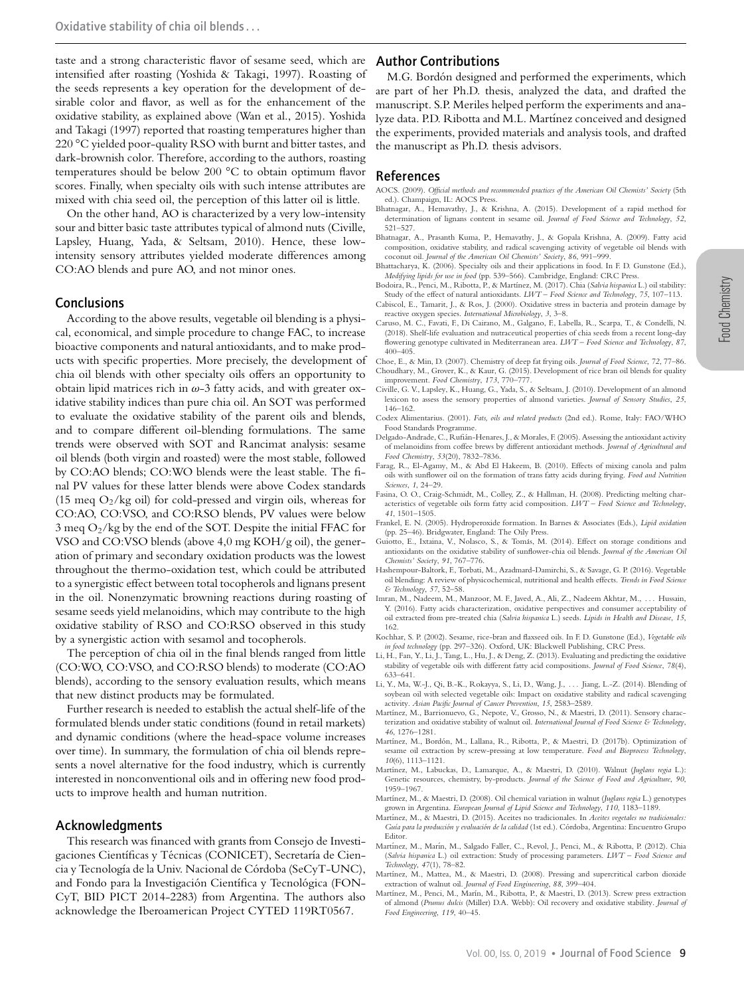taste and a strong characteristic flavor of sesame seed, which are intensified after roasting (Yoshida & Takagi, 1997). Roasting of the seeds represents a key operation for the development of desirable color and flavor, as well as for the enhancement of the oxidative stability, as explained above (Wan et al., 2015). Yoshida and Takagi (1997) reported that roasting temperatures higher than 220 °C yielded poor-quality RSO with burnt and bitter tastes, and dark-brownish color. Therefore, according to the authors, roasting temperatures should be below 200 °C to obtain optimum flavor scores. Finally, when specialty oils with such intense attributes are mixed with chia seed oil, the perception of this latter oil is little.

On the other hand, AO is characterized by a very low-intensity sour and bitter basic taste attributes typical of almond nuts (Civille, Lapsley, Huang, Yada, & Seltsam, 2010). Hence, these lowintensity sensory attributes yielded moderate differences among CO:AO blends and pure AO, and not minor ones.

## Conclusions

According to the above results, vegetable oil blending is a physical, economical, and simple procedure to change FAC, to increase bioactive components and natural antioxidants, and to make products with specific properties. More precisely, the development of chia oil blends with other specialty oils offers an opportunity to obtain lipid matrices rich in  $\omega$ -3 fatty acids, and with greater oxidative stability indices than pure chia oil. An SOT was performed to evaluate the oxidative stability of the parent oils and blends, and to compare different oil-blending formulations. The same trends were observed with SOT and Rancimat analysis: sesame oil blends (both virgin and roasted) were the most stable, followed by CO:AO blends; CO:WO blends were the least stable. The final PV values for these latter blends were above Codex standards (15 meq  $O_2$ /kg oil) for cold-pressed and virgin oils, whereas for CO:AO, CO:VSO, and CO:RSO blends, PV values were below  $3 \text{ meq O}_2/\text{kg}$  by the end of the SOT. Despite the initial FFAC for VSO and CO:VSO blends (above 4,0 mg KOH/g oil), the generation of primary and secondary oxidation products was the lowest throughout the thermo-oxidation test, which could be attributed to a synergistic effect between total tocopherols and lignans present in the oil. Nonenzymatic browning reactions during roasting of sesame seeds yield melanoidins, which may contribute to the high oxidative stability of RSO and CO:RSO observed in this study by a synergistic action with sesamol and tocopherols.

The perception of chia oil in the final blends ranged from little (CO:WO, CO:VSO, and CO:RSO blends) to moderate (CO:AO blends), according to the sensory evaluation results, which means that new distinct products may be formulated.

Further research is needed to establish the actual shelf-life of the formulated blends under static conditions (found in retail markets) and dynamic conditions (where the head-space volume increases over time). In summary, the formulation of chia oil blends represents a novel alternative for the food industry, which is currently interested in nonconventional oils and in offering new food products to improve health and human nutrition.

#### Acknowledgments

This research was financed with grants from Consejo de Investigaciones Científicas y Técnicas (CONICET), Secretaría de Ciencia y Tecnología de la Univ. Nacional de Córdoba (SeCyT-UNC), and Fondo para la Investigación Científica y Tecnológica (FON-CyT, BID PICT 2014-2283) from Argentina. The authors also acknowledge the Iberoamerican Project CYTED 119RT0567.

## Author Contributions

M.G. Bordón designed and performed the experiments, which are part of her Ph.D. thesis, analyzed the data, and drafted the manuscript. S.P. Meriles helped perform the experiments and analyze data. P.D. Ribotta and M.L. Martínez conceived and designed the experiments, provided materials and analysis tools, and drafted the manuscript as Ph.D. thesis advisors.

# References

- AOCS. (2009). *Official methods and recommended practices of the American Oil Chemists' Society* (5th ed.). Champaign, IL: AOCS Press.
- Bhatnagar, A., Hemavathy, J., & Krishna, A. (2015). Development of a rapid method for determination of lignans content in sesame oil. *Journal of Food Science and Technology*, *52*, 521–527.
- Bhatnagar, A., Prasanth Kuma, P., Hemavathy, J., & Gopala Krishna, A. (2009). Fatty acid composition, oxidative stability, and radical scavenging activity of vegetable oil blends with coconut oil. *Journal of the American Oil Chemists' Society*, *86*, 991–999.
- Bhattacharya, K. (2006). Specialty oils and their applications in food. In F. D. Gunstone (Ed.), *Modifying lipids for use in food* (pp. 539–566). Cambridge, England: CRC Press.
- Bodoira, R., Penci, M., Ribotta, P., & Mart´ınez, M. (2017). Chia (*Salvia hispanica* L.) oil stability: Study of the effect of natural antioxidants. *LWT – Food Science and Technology*, *75*, 107–113. Cabiscol, E., Tamarit, J., & Ros, J. (2000). Oxidative stress in bacteria and protein damage by
- reactive oxygen species. *International Microbiology*, *3*, 3–8. Caruso, M. C., Favati, F., Di Cairano, M., Galgano, F., Labella, R., Scarpa, T., & Condelli, N.
- (2018). Shelf-life evaluation and nutraceutical properties of chia seeds from a recent long-day flowering genotype cultivated in Mediterranean area. *LWT – Food Science and Technology*, *87*, 400–405.
- Choe, E., & Min, D. (2007). Chemistry of deep fat frying oils. *Journal of Food Science*, *72*, 77–86. Choudhary, M., Grover, K., & Kaur, G. (2015). Development of rice bran oil blends for quality improvement. *Food Chemistry*, *173*, 770–777.
- Civille, G. V., Lapsley, K., Huang, G., Yada, S., & Seltsam, J. (2010). Development of an almond lexicon to assess the sensory properties of almond varieties. *Journal of Sensory Studies*, *25*, 146–162.
- Codex Alimentarius. (2001). *Fats, oils and related products* (2nd ed.). Rome, Italy: FAO/WHO Food Standards Programme.
- Delgado-Andrade, C., Rufian-Henares, J., & Morales, F. (2005). Assessing the antioxidant activity ´ of melanoidins from coffee brews by different antioxidant methods. *Journal of Agricultural and Food Chemistry*, *53*(20), 7832–7836.
- Farag, R., El-Agamy, M., & Abd El Hakeem, B. (2010). Effects of mixing canola and palm oils with sunflower oil on the formation of trans fatty acids during frying. *Food and Nutrition Sciences*, *1*, 24–29.
- Fasina, O. O., Craig-Schmidt, M., Colley, Z., & Hallman, H. (2008). Predicting melting characteristics of vegetable oils form fatty acid composition. *LWT – Food Science and Technology*, *41*, 1501–1505.
- Frankel, E. N. (2005). Hydroperoxide formation. In Barnes & Associates (Eds.), *Lipid oxidation* (pp. 25–46). Bridgwater, England: The Oily Press.
- Guiotto, E., Ixtaina, V., Nolasco, S., & Tomas, M. (2014). Effect on storage conditions and ´ antioxidants on the oxidative stability of sunflower-chia oil blends. *Journal of the American Oil Chemists' Society*, *91*, 767–776.
- Hashempour-Baltork, F., Torbati, M., Azadmard-Damirchi, S., & Savage, G. P. (2016). Vegetable oil blending: A review of physicochemical, nutritional and health effects. *Trends in Food Science & Technology*, *57*, 52–58.
- Imran, M., Nadeem, M., Manzoor, M. F., Javed, A., Ali, Z., Nadeem Akhtar, M., . . . Hussain, Y. (2016). Fatty acids characterization, oxidative perspectives and consumer acceptability of oil extracted from pre-treated chia (*Salvia hispanica* L.) seeds. *Lipids in Health and Disease*, *15*, 162.
- Kochhar, S. P. (2002). Sesame, rice-bran and flaxseed oils. In F. D. Gunstone (Ed.), *Vegetable oils in food technology* (pp. 297–326). Oxford, UK: Blackwell Publishing, CRC Press.
- Li, H., Fan, Y., Li, J., Tang, L., Hu, J., & Deng, Z. (2013). Evaluating and predicting the oxidative stability of vegetable oils with different fatty acid compositions. *Journal of Food Science*, *78*(4), 633–641.
- Li, Y., Ma, W.-J., Qi, B.-K., Rokayya, S., Li, D., Wang, J., . . . Jiang, L.-Z. (2014). Blending of soybean oil with selected vegetable oils: Impact on oxidative stability and radical scavenging activity. *Asian Pacific Journal of Cancer Prevention*, *15*, 2583–2589.
- Martínez, M., Barrionuevo, G., Nepote, V., Grosso, N., & Maestri, D. (2011). Sensory characterization and oxidative stability of walnut oil. *International Journal of Food Science & Technology*, *46*, 1276–1281.
- Martínez, M., Bordón, M., Lallana, R., Ribotta, P., & Maestri, D. (2017b). Optimization of sesame oil extraction by screw-pressing at low temperature. *Food and Bioprocess Technology*, *10*(6), 1113–1121.
- Martínez, M., Labuckas, D., Lamarque, A., & Maestri, D. (2010). Walnut (*Juglans regia* L.): Genetic resources, chemistry, by-products. *Journal of the Science of Food and Agriculture*, *90*, 1959–1967.
- Mart´ınez, M., & Maestri, D. (2008). Oil chemical variation in walnut (*Juglans regia* L.) genotypes grown in Argentina. *European Journal of Lipid Science and Technology*, *110*, 1183–1189.
- Martínez, M., & Maestri, D. (2015). Aceites no tradicionales. In *Aceites vegetales no tradicionales: Guía para la producción y evaluación de la calidad* (1st ed.). Córdoba, Argentina: Encuentro Grupo Editor.
- Martínez, M., Marín, M., Salgado Faller, C., Revol, J., Penci, M., & Ribotta, P. (2012). Chia (*Salvia hispanica* L.) oil extraction: Study of processing parameters. *LWT – Food Science and Technology*, *47*(1), 78–82.
- Martínez, M., Mattea, M., & Maestri, D. (2008). Pressing and supercritical carbon dioxide extraction of walnut oil. *Journal of Food Engineering*, *88*, 399–404.
- Mart´ınez, M., Penci, M., Mar´ın, M., Ribotta, P., & Maestri, D. (2013). Screw press extraction of almond (*Prunus dulcis* (Miller) D.A. Webb): Oil recovery and oxidative stability. *Journal of Food Engineering*, *119*, 40–45.